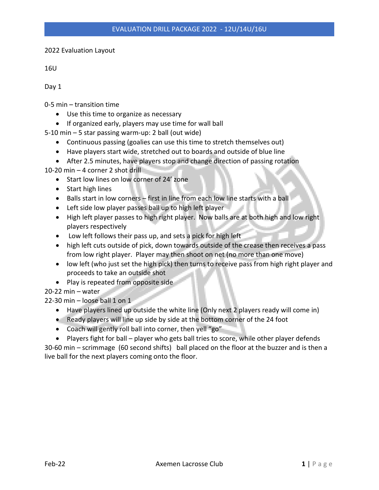2022 Evaluation Layout

16U

Day 1

0-5 min – transition time

- Use this time to organize as necessary
- If organized early, players may use time for wall ball

5-10 min – 5 star passing warm-up: 2 ball (out wide)

- Continuous passing (goalies can use this time to stretch themselves out)
- Have players start wide, stretched out to boards and outside of blue line
- After 2.5 minutes, have players stop and change direction of passing rotation

10-20 min – 4 corner 2 shot drill

- Start low lines on low corner of 24' zone
- Start high lines
- Balls start in low corners first in line from each low line starts with a ball
- Left side low player passes ball up to high left player
- High left player passes to high right player. Now balls are at both high and low right players respectively
- Low left follows their pass up, and sets a pick for high left
- high left cuts outside of pick, down towards outside of the crease then receives a pass from low right player. Player may then shoot on net (no more than one move)
- low left (who just set the high pick) then turns to receive pass from high right player and proceeds to take an outside shot
- Play is repeated from opposite side

20-22 min – water

 $22-30$  min – loose ball 1 on 1

- Have players lined up outside the white line (Only next 2 players ready will come in)
- Ready players will line up side by side at the bottom corner of the 24 foot
- Coach will gently roll ball into corner, then yell "go"

• Players fight for ball – player who gets ball tries to score, while other player defends 30-60 min – scrimmage (60 second shifts) ball placed on the floor at the buzzer and is then a live ball for the next players coming onto the floor.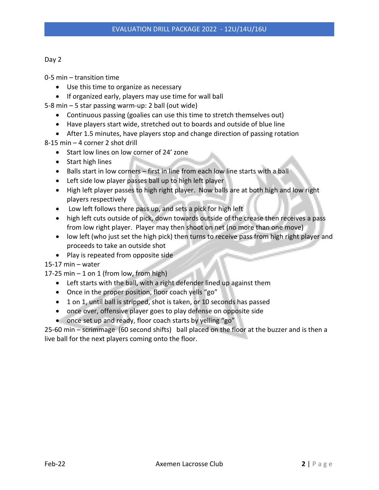| I<br>. . |  |
|----------|--|
|----------|--|

- Use this time to organize as necessary
- If organized early, players may use time for wall ball
- 5-8 min 5 star passing warm-up: 2 ball (out wide)
	- Continuous passing (goalies can use this time to stretch themselves out)
	- Have players start wide, stretched out to boards and outside of blue line
	- After 1.5 minutes, have players stop and change direction of passing rotation
- 8-15 min 4 corner 2 shot drill
	- Start low lines on low corner of 24' zone
	- Start high lines
	- Balls start in low corners first in line from each low line starts with a ball
	- Left side low player passes ball up to high left player
	- High left player passes to high right player. Now balls are at both high and low right players respectively
	- Low left follows there pass up, and sets a pick for high left
	- high left cuts outside of pick, down towards outside of the crease then receives a pass from low right player. Player may then shoot on net (no more than one move)
	- low left (who just set the high pick) then turns to receive pass from high right player and proceeds to take an outside shot
	- Play is repeated from opposite side

15-17 min – water

17-25 min  $-1$  on 1 (from low, from high)

- Left starts with the ball, with a right defender lined up against them
- Once in the proper position, floor coach yells "go"
- 1 on 1, until ball is stripped, shot is taken, or 10 seconds has passed
- once over, offensive player goes to play defense on opposite side
- once set up and ready, floor coach starts by yelling "go"

25-60 min – scrimmage (60 second shifts) ball placed on the floor at the buzzer and is then a live ball for the next players coming onto the floor.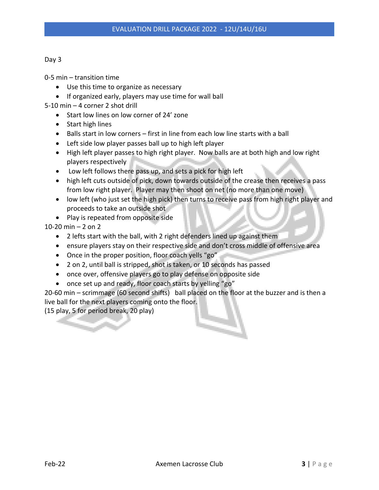- Use this time to organize as necessary
- If organized early, players may use time for wall ball
- 5-10 min 4 corner 2 shot drill
	- Start low lines on low corner of 24' zone
	- Start high lines
	- Balls start in low corners first in line from each low line starts with a ball
	- Left side low player passes ball up to high left player
	- High left player passes to high right player. Now balls are at both high and low right players respectively
	- Low left follows there pass up, and sets a pick for high left
	- high left cuts outside of pick, down towards outside of the crease then receives a pass from low right player. Player may then shoot on net (no more than one move)
	- low left (who just set the high pick) then turns to receive pass from high right player and proceeds to take an outside shot
	- Play is repeated from opposite side

10-20 min – 2 on 2

- 2 lefts start with the ball, with 2 right defenders lined up against them
- ensure players stay on their respective side and don't cross middle of offensive area
- Once in the proper position, floor coach yells "go"
- 2 on 2, until ball is stripped, shot is taken, or 10 seconds has passed
- once over, offensive players go to play defense on opposite side
- once set up and ready, floor coach starts by yelling "go"

20-60 min – scrimmage (60 second shifts) ball placed on the floor at the buzzer and is then a live ball for the next players coming onto the floor.

(15 play, 5 for period break, 20 play)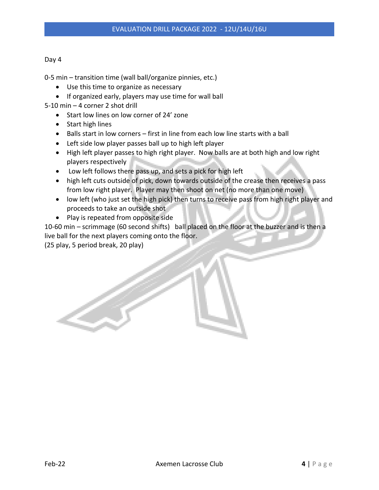0-5 min – transition time (wall ball/organize pinnies, etc.)

- Use this time to organize as necessary
- If organized early, players may use time for wall ball
- 5-10 min 4 corner 2 shot drill
	- Start low lines on low corner of 24' zone
	- Start high lines
	- Balls start in low corners first in line from each low line starts with a ball
	- Left side low player passes ball up to high left player
	- High left player passes to high right player. Now balls are at both high and low right players respectively
	- Low left follows there pass up, and sets a pick for high left
	- high left cuts outside of pick, down towards outside of the crease then receives a pass from low right player. Player may then shoot on net (no more than one move)
	- low left (who just set the high pick) then turns to receive pass from high right player and proceeds to take an outside shot
	- Play is repeated from opposite side

10-60 min – scrimmage (60 second shifts) ball placed on the floor at the buzzer and is then a live ball for the next players coming onto the floor.

(25 play, 5 period break, 20 play)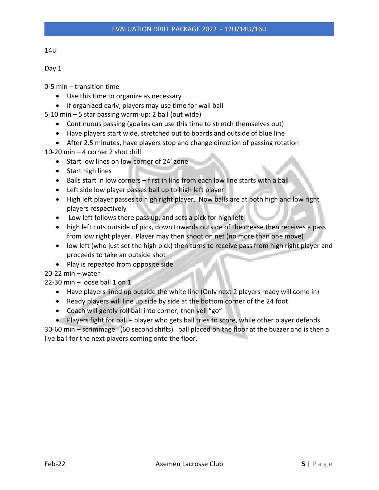0-5 min – transition time

- Use this time to organize as necessary
- If organized early, players may use time for wall ball
- 5-10 min 5 star passing warm-up: 2 ball (out wide)
	- Continuous passing (goalies can use this time to stretch themselves out)
	- Have players start wide, stretched out to boards and outside of blue line
	- After 2.5 minutes, have players stop and change direction of passing rotation

10-20 min – 4 corner 2 shot drill

- Start low lines on low corner of 24' zone
- Start high lines
- Balls start in low corners first in line from each low line starts with a ball
- Left side low player passes ball up to high left player
- High left player passes to high right player. Now balls are at both high and low right players respectively
- Low left follows there pass up, and sets a pick for high left
- high left cuts outside of pick, down towards outside of the crease then receives a pass from low right player. Player may then shoot on net (no more than one move)
- low left (who just set the high pick) then turns to receive pass from high right player and proceeds to take an outside shot
- Play is repeated from opposite side

20-22 min – water

22-30 min – loose ball 1 on  $1$ 

- Have players lined up outside the white line (Only next 2 players ready will come in)
- Ready players will line up side by side at the bottom corner of the 24 foot
- Coach will gently roll ball into corner, then yell "go"

• Players fight for ball – player who gets ball tries to score, while other player defends 30-60 min – scrimmage (60 second shifts) ball placed on the floor at the buzzer and is then a live ball for the next players coming onto the floor.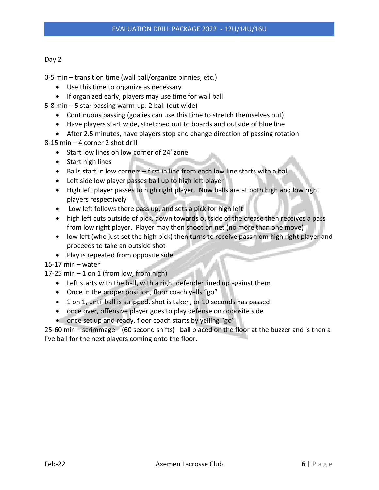0-5 min – transition time (wall ball/organize pinnies, etc.)

- Use this time to organize as necessary
- If organized early, players may use time for wall ball
- 5-8 min 5 star passing warm-up: 2 ball (out wide)
	- Continuous passing (goalies can use this time to stretch themselves out)
	- Have players start wide, stretched out to boards and outside of blue line
	- After 2.5 minutes, have players stop and change direction of passing rotation
- 8-15 min 4 corner 2 shot drill
	- Start low lines on low corner of 24' zone
	- Start high lines
	- Balls start in low corners first in line from each low line starts with a ball
	- Left side low player passes ball up to high left player
	- High left player passes to high right player. Now balls are at both high and low right players respectively
	- Low left follows there pass up, and sets a pick for high left
	- high left cuts outside of pick, down towards outside of the crease then receives a pass from low right player. Player may then shoot on net (no more than one move)
	- low left (who just set the high pick) then turns to receive pass from high right player and proceeds to take an outside shot
	- Play is repeated from opposite side

15-17 min – water

17-25 min  $-1$  on 1 (from low, from high)

- Left starts with the ball, with a right defender lined up against them
- Once in the proper position, floor coach yells "go"
- 1 on 1, until ball is stripped, shot is taken, or 10 seconds has passed
- once over, offensive player goes to play defense on opposite side
- once set up and ready, floor coach starts by yelling "go"

25-60 min – scrimmage (60 second shifts) ball placed on the floor at the buzzer and is then a live ball for the next players coming onto the floor.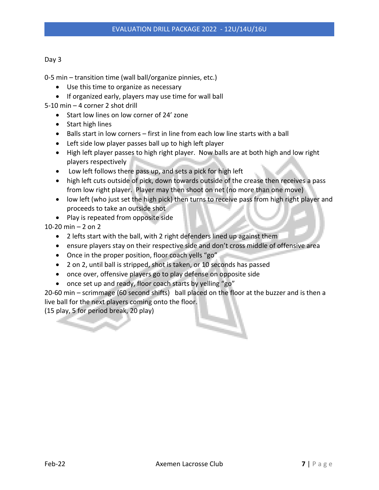0-5 min – transition time (wall ball/organize pinnies, etc.)

- Use this time to organize as necessary
- If organized early, players may use time for wall ball
- 5-10 min 4 corner 2 shot drill
	- Start low lines on low corner of 24' zone
	- Start high lines
	- Balls start in low corners first in line from each low line starts with a ball
	- Left side low player passes ball up to high left player
	- High left player passes to high right player. Now balls are at both high and low right players respectively
	- Low left follows there pass up, and sets a pick for high left
	- high left cuts outside of pick, down towards outside of the crease then receives a pass from low right player. Player may then shoot on net (no more than one move)
	- low left (who just set the high pick) then turns to receive pass from high right player and proceeds to take an outside shot
	- Play is repeated from opposite side

10-20 min – 2 on 2

- 2 lefts start with the ball, with 2 right defenders lined up against them
- ensure players stay on their respective side and don't cross middle of offensive area
- Once in the proper position, floor coach yells "go"
- 2 on 2, until ball is stripped, shot is taken, or 10 seconds has passed
- once over, offensive players go to play defense on opposite side
- once set up and ready, floor coach starts by yelling "go"

20-60 min – scrimmage (60 second shifts) ball placed on the floor at the buzzer and is then a live ball for the next players coming onto the floor.

(15 play, 5 for period break, 20 play)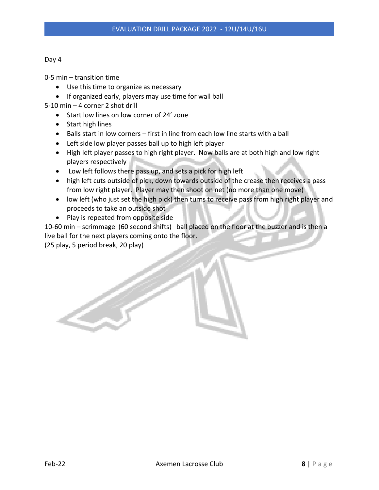- Use this time to organize as necessary
- If organized early, players may use time for wall ball
- 5-10 min 4 corner 2 shot drill
	- Start low lines on low corner of 24' zone
	- Start high lines
	- Balls start in low corners first in line from each low line starts with a ball
	- Left side low player passes ball up to high left player
	- High left player passes to high right player. Now balls are at both high and low right players respectively
	- Low left follows there pass up, and sets a pick for high left
	- high left cuts outside of pick, down towards outside of the crease then receives a pass from low right player. Player may then shoot on net (no more than one move)
	- low left (who just set the high pick) then turns to receive pass from high right player and proceeds to take an outside shot
	- Play is repeated from opposite side

10-60 min – scrimmage (60 second shifts) ball placed on the floor at the buzzer and is then a live ball for the next players coming onto the floor.

(25 play, 5 period break, 20 play)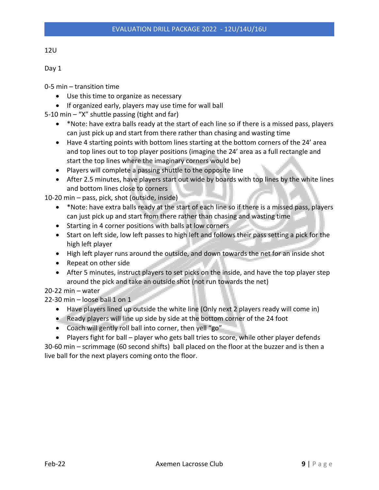0-5 min – transition time

- Use this time to organize as necessary
- If organized early, players may use time for wall ball
- 5-10 min "X" shuttle passing (tight and far)
	- \*Note: have extra balls ready at the start of each line so if there is a missed pass, players can just pick up and start from there rather than chasing and wasting time
	- Have 4 starting points with bottom lines starting at the bottom corners of the 24' area and top lines out to top player positions (imagine the 24' area as a full rectangle and start the top lines where the imaginary corners would be)
	- Players will complete a passing shuttle to the opposite line
	- After 2.5 minutes, have players start out wide by boards with top lines by the white lines and bottom lines close to corners

10-20 min – pass, pick, shot (outside, inside)

- \*Note: have extra balls ready at the start of each line so if there is a missed pass, players can just pick up and start from there rather than chasing and wasting time
- Starting in 4 corner positions with balls at low corners
- Start on left side, low left passes to high left and follows their pass setting a pick for the high left player
- High left player runs around the outside, and down towards the net for an inside shot
- Repeat on other side
- After 5 minutes, instruct players to set picks on the inside, and have the top player step around the pick and take an outside shot (not run towards the net)

20-22 min – water

22-30 min – loose ball 1 on 1

- Have players lined up outside the white line (Only next 2 players ready will come in)
- Ready players will line up side by side at the bottom corner of the 24 foot
- Coach will gently roll ball into corner, then yell "go"

• Players fight for ball – player who gets ball tries to score, while other player defends 30-60 min – scrimmage (60 second shifts) ball placed on the floor at the buzzer and is then a live ball for the next players coming onto the floor.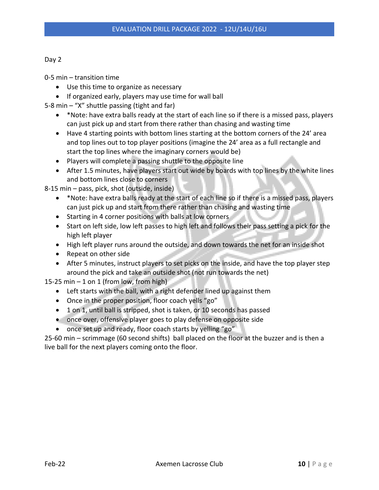|--|--|

- Use this time to organize as necessary
- If organized early, players may use time for wall ball
- 5-8 min "X" shuttle passing (tight and far)
	- \*Note: have extra balls ready at the start of each line so if there is a missed pass, players can just pick up and start from there rather than chasing and wasting time
	- Have 4 starting points with bottom lines starting at the bottom corners of the 24' area and top lines out to top player positions (imagine the 24' area as a full rectangle and start the top lines where the imaginary corners would be)
	- Players will complete a passing shuttle to the opposite line
	- After 1.5 minutes, have players start out wide by boards with top lines by the white lines and bottom lines close to corners

8-15 min – pass, pick, shot (outside, inside)

- \*Note: have extra balls ready at the start of each line so if there is a missed pass, players can just pick up and start from there rather than chasing and wasting time
- Starting in 4 corner positions with balls at low corners
- Start on left side, low left passes to high left and follows their pass setting a pick for the high left player
- High left player runs around the outside, and down towards the net for an inside shot
- Repeat on other side
- After 5 minutes, instruct players to set picks on the inside, and have the top player step around the pick and take an outside shot (not run towards the net)

15-25 min  $-1$  on 1 (from low, from high)

- Left starts with the ball, with a right defender lined up against them
- Once in the proper position, floor coach yells "go"
- 1 on 1, until ball is stripped, shot is taken, or 10 seconds has passed
- once over, offensive player goes to play defense on opposite side
- once set up and ready, floor coach starts by yelling "go"

25-60 min – scrimmage (60 second shifts) ball placed on the floor at the buzzer and is then a live ball for the next players coming onto the floor.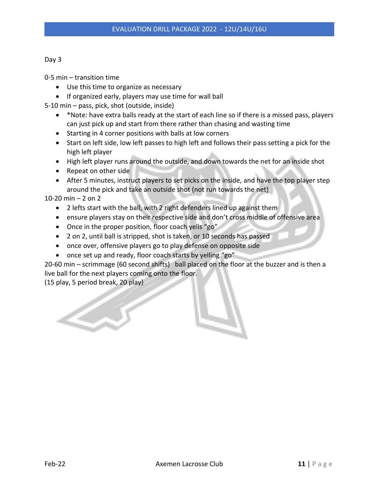| I<br>. .<br>× | ۰.<br>M. |
|---------------|----------|
|---------------|----------|

- Use this time to organize as necessary
- If organized early, players may use time for wall ball

5-10 min – pass, pick, shot (outside, inside)

- \*Note: have extra balls ready at the start of each line so if there is a missed pass, players can just pick up and start from there rather than chasing and wasting time
- Starting in 4 corner positions with balls at low corners
- Start on left side, low left passes to high left and follows their pass setting a pick for the high left player
- High left player runs around the outside, and down towards the net for an inside shot
- Repeat on other side
- After 5 minutes, instruct players to set picks on the inside, and have the top player step around the pick and take an outside shot (not run towards the net)

10-20 min – 2 on 2

- 2 lefts start with the ball, with 2 right defenders lined up against them
- ensure players stay on their respective side and don't cross middle of offensive area
- Once in the proper position, floor coach yells "go"
- 2 on 2, until ball is stripped, shot is taken, or 10 seconds has passed
- once over, offensive players go to play defense on opposite side
- once set up and ready, floor coach starts by yelling "go"

20-60 min – scrimmage (60 second shifts) ball placed on the floor at the buzzer and is then a live ball for the next players coming onto the floor.

(15 play, 5 period break, 20 play)